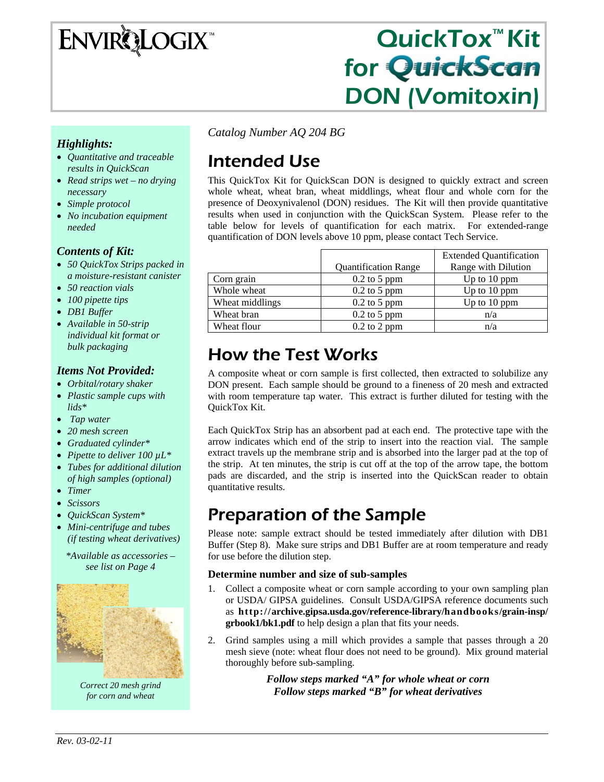# **ENVIRQLOGIX**

## QuickTox™ Kit for QuickScan DON (Vomitoxin)

*Highlights:* 

- *Quantitative and traceable results in QuickScan*
- *Read strips wet no drying necessary*
- *Simple protocol*
- *No incubation equipment needed*

### *Contents of Kit:*

- *50 QuickTox Strips packed in a moisture-resistant canister*
- *50 reaction vials*
- *100 pipette tips*
- *DB1 Buffer*
- *Available in 50-strip individual kit format or bulk packaging*

#### *Items Not Provided:*

- *Orbital/rotary shaker*
- *Plastic sample cups with lids\**
- • *Tap water*
- *20 mesh screen*
- *Graduated cylinder\**
- *Pipette to deliver 100 µL\**
- *Tubes for additional dilution of high samples (optional)*
- *Timer*
- *Scissors*
- *QuickScan System\**
- *Mini-centrifuge and tubes (if testing wheat derivatives)*

*\*Available as accessories – see list on Page 4* 



*Correct 20 mesh grind for corn and wheat* 

*Catalog Number AQ 204 BG*

## Intended Use

This QuickTox Kit for QuickScan DON is designed to quickly extract and screen whole wheat, wheat bran, wheat middlings, wheat flour and whole corn for the presence of Deoxynivalenol (DON) residues. The Kit will then provide quantitative results when used in conjunction with the QuickScan System. Please refer to the table below for levels of quantification for each matrix. For extended-range quantification of DON levels above 10 ppm, please contact Tech Service.

|                 |                             | <b>Extended Quantification</b> |
|-----------------|-----------------------------|--------------------------------|
|                 | <b>Quantification Range</b> | Range with Dilution            |
| Corn grain      | $0.2$ to 5 ppm              | Up to 10 ppm                   |
| Whole wheat     | $0.2$ to 5 ppm              | Up to $10$ ppm                 |
| Wheat middlings | $0.2$ to 5 ppm              | Up to $10$ ppm                 |
| Wheat bran      | $0.2$ to 5 ppm              | n/a                            |
| Wheat flour     | $0.2$ to 2 ppm              | n/a                            |

### How the Test Works

A composite wheat or corn sample is first collected, then extracted to solubilize any DON present. Each sample should be ground to a fineness of 20 mesh and extracted with room temperature tap water. This extract is further diluted for testing with the QuickTox Kit.

Each QuickTox Strip has an absorbent pad at each end. The protective tape with the arrow indicates which end of the strip to insert into the reaction vial. The sample extract travels up the membrane strip and is absorbed into the larger pad at the top of the strip. At ten minutes, the strip is cut off at the top of the arrow tape, the bottom pads are discarded, and the strip is inserted into the QuickScan reader to obtain quantitative results.

### Preparation of the Sample

Please note: sample extract should be tested immediately after dilution with DB1 Buffer (Step 8). Make sure strips and DB1 Buffer are at room temperature and ready for use before the dilution step.

#### **Determine number and size of sub-samples**

- 1. Collect a composite wheat or corn sample according to your own sampling plan or USDA/ GIPSA guidelines. Consult USDA/GIPSA reference documents such as **http://archive.gipsa.usda.gov/reference-library/handbooks/grain-insp/ grbook1/bk1.pdf** to help design a plan that fits your needs.
- 2. Grind samples using a mill which provides a sample that passes through a 20 mesh sieve (note: wheat flour does not need to be ground). Mix ground material thoroughly before sub-sampling.

*Follow steps marked "A" for whole wheat or corn Follow steps marked "B" for wheat derivatives*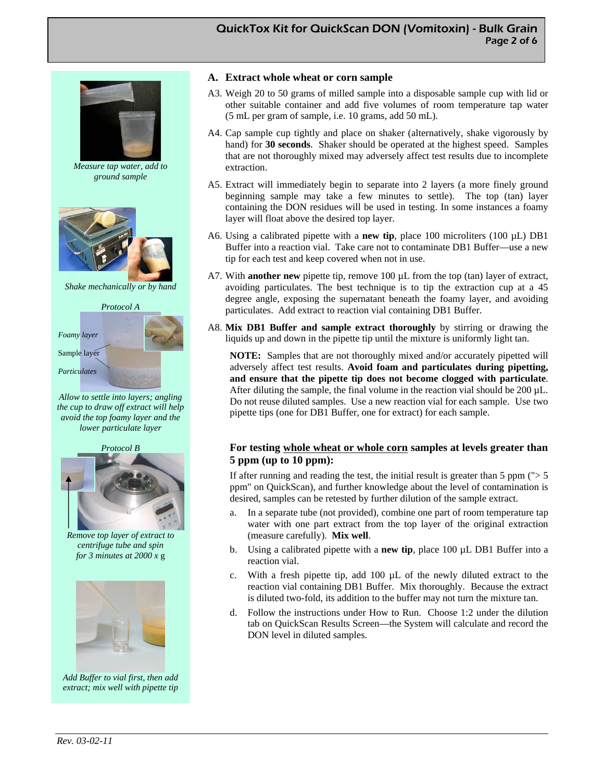#### QuickTox Kit for QuickScan DON (Vomitoxin) - Bulk Grain Page 2 of 6



*Measure tap water, add to ground sample* 



*Shake mechanically or by hand* 



*Allow to settle into layers; angling the cup to draw off extract will help avoid the top foamy layer and the lower particulate layer* 





*Remove top layer of extract to centrifuge tube and spin for 3 minutes at 2000 x* g



*Add Buffer to vial first, then add extract; mix well with pipette tip* 

#### **A. Extract whole wheat or corn sample**

- A3. Weigh 20 to 50 grams of milled sample into a disposable sample cup with lid or other suitable container and add five volumes of room temperature tap water (5 mL per gram of sample, i.e. 10 grams, add 50 mL).
- A4. Cap sample cup tightly and place on shaker (alternatively, shake vigorously by hand) for **30 seconds**. Shaker should be operated at the highest speed. Samples that are not thoroughly mixed may adversely affect test results due to incomplete extraction.
- A5. Extract will immediately begin to separate into 2 layers (a more finely ground beginning sample may take a few minutes to settle). The top (tan) layer containing the DON residues will be used in testing. In some instances a foamy layer will float above the desired top layer.
- A6. Using a calibrated pipette with a **new tip**, place 100 microliters (100 µL) DB1 Buffer into a reaction vial. Take care not to contaminate DB1 Buffer—use a new tip for each test and keep covered when not in use.
- A7. With **another new** pipette tip, remove 100  $\mu$ L from the top (tan) layer of extract, avoiding particulates. The best technique is to tip the extraction cup at a 45 degree angle, exposing the supernatant beneath the foamy layer, and avoiding particulates. Add extract to reaction vial containing DB1 Buffer.
- A8. **Mix DB1 Buffer and sample extract thoroughly** by stirring or drawing the liquids up and down in the pipette tip until the mixture is uniformly light tan.

**NOTE:** Samples that are not thoroughly mixed and/or accurately pipetted will adversely affect test results. **Avoid foam and particulates during pipetting, and ensure that the pipette tip does not become clogged with particulate**. After diluting the sample, the final volume in the reaction vial should be 200 µL. Do not reuse diluted samples. Use a new reaction vial for each sample. Use two pipette tips (one for DB1 Buffer, one for extract) for each sample.

#### **For testing whole wheat or whole corn samples at levels greater than 5 ppm (up to 10 ppm):**

If after running and reading the test, the initial result is greater than 5 ppm  $\left\langle \cdot \right\rangle$  5 ppm" on QuickScan), and further knowledge about the level of contamination is desired, samples can be retested by further dilution of the sample extract.

- In a separate tube (not provided), combine one part of room temperature tap water with one part extract from the top layer of the original extraction (measure carefully). **Mix well**.
- b. Using a calibrated pipette with a **new tip**, place 100 µL DB1 Buffer into a reaction vial.
- c. With a fresh pipette tip, add 100 µL of the newly diluted extract to the reaction vial containing DB1 Buffer. Mix thoroughly. Because the extract is diluted two-fold, its addition to the buffer may not turn the mixture tan.
- d. Follow the instructions under How to Run. Choose 1:2 under the dilution tab on QuickScan Results Screen—the System will calculate and record the DON level in diluted samples.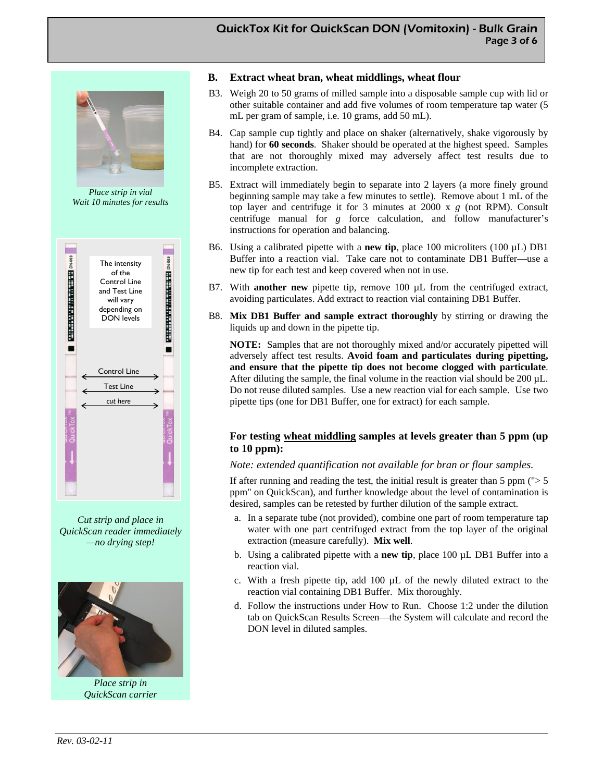#### QuickTox Kit for QuickScan DON (Vomitoxin) - Bulk Grain Page 3 of 6



*Place strip in vial Wait 10 minutes for results* 



*Cut strip and place in QuickScan reader immediately —no drying step!* 



*Place strip in QuickScan carrier* 

#### **B. Extract wheat bran, wheat middlings, wheat flour**

- B3. Weigh 20 to 50 grams of milled sample into a disposable sample cup with lid or other suitable container and add five volumes of room temperature tap water (5 mL per gram of sample, i.e. 10 grams, add 50 mL).
- B4. Cap sample cup tightly and place on shaker (alternatively, shake vigorously by hand) for **60 seconds**. Shaker should be operated at the highest speed. Samples that are not thoroughly mixed may adversely affect test results due to incomplete extraction.
- B5. Extract will immediately begin to separate into 2 layers (a more finely ground beginning sample may take a few minutes to settle). Remove about 1 mL of the top layer and centrifuge it for 3 minutes at 2000 x *g* (not RPM). Consult centrifuge manual for *g* force calculation, and follow manufacturer's instructions for operation and balancing.
- B6. Using a calibrated pipette with a **new tip**, place 100 microliters (100 µL) DB1 Buffer into a reaction vial. Take care not to contaminate DB1 Buffer—use a new tip for each test and keep covered when not in use.
- B7. With **another new** pipette tip, remove 100  $\mu$ L from the centrifuged extract, avoiding particulates. Add extract to reaction vial containing DB1 Buffer.
- B8. **Mix DB1 Buffer and sample extract thoroughly** by stirring or drawing the liquids up and down in the pipette tip.

**NOTE:** Samples that are not thoroughly mixed and/or accurately pipetted will adversely affect test results. **Avoid foam and particulates during pipetting, and ensure that the pipette tip does not become clogged with particulate**. After diluting the sample, the final volume in the reaction vial should be 200 µL. Do not reuse diluted samples. Use a new reaction vial for each sample. Use two pipette tips (one for DB1 Buffer, one for extract) for each sample.

#### **For testing wheat middling samples at levels greater than 5 ppm (up to 10 ppm):**

#### *Note: extended quantification not available for bran or flour samples.*

If after running and reading the test, the initial result is greater than 5 ppm  $\left\langle \cdot \right\rangle$  5 ppm" on QuickScan), and further knowledge about the level of contamination is desired, samples can be retested by further dilution of the sample extract.

- a. In a separate tube (not provided), combine one part of room temperature tap water with one part centrifuged extract from the top layer of the original extraction (measure carefully). **Mix well**.
- b. Using a calibrated pipette with a **new tip**, place 100 µL DB1 Buffer into a reaction vial.
- c. With a fresh pipette tip, add 100 µL of the newly diluted extract to the reaction vial containing DB1 Buffer. Mix thoroughly.
- d. Follow the instructions under How to Run. Choose 1:2 under the dilution tab on QuickScan Results Screen—the System will calculate and record the DON level in diluted samples.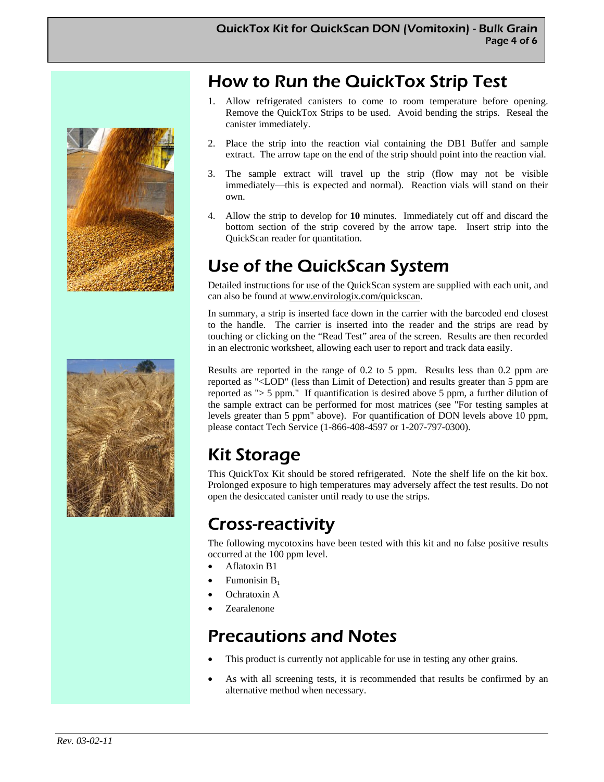

### How to Run the QuickTox Strip Test

- 1. Allow refrigerated canisters to come to room temperature before opening. Remove the QuickTox Strips to be used. Avoid bending the strips. Reseal the canister immediately.
- 2. Place the strip into the reaction vial containing the DB1 Buffer and sample extract. The arrow tape on the end of the strip should point into the reaction vial.
- 3. The sample extract will travel up the strip (flow may not be visible immediately—this is expected and normal). Reaction vials will stand on their own.
- 4. Allow the strip to develop for **10** minutes. Immediately cut off and discard the bottom section of the strip covered by the arrow tape. Insert strip into the QuickScan reader for quantitation.

### Use of the QuickScan System

Detailed instructions for use of the QuickScan system are supplied with each unit, and can also be found at www.envirologix.com/quickscan.

In summary, a strip is inserted face down in the carrier with the barcoded end closest to the handle. The carrier is inserted into the reader and the strips are read by touching or clicking on the "Read Test" area of the screen. Results are then recorded in an electronic worksheet, allowing each user to report and track data easily.

Results are reported in the range of 0.2 to 5 ppm. Results less than 0.2 ppm are reported as "<LOD" (less than Limit of Detection) and results greater than 5 ppm are reported as "> 5 ppm." If quantification is desired above 5 ppm, a further dilution of the sample extract can be performed for most matrices (see "For testing samples at levels greater than 5 ppm" above). For quantification of DON levels above 10 ppm, please contact Tech Service (1-866-408-4597 or 1-207-797-0300).

### Kit Storage

This QuickTox Kit should be stored refrigerated. Note the shelf life on the kit box. Prolonged exposure to high temperatures may adversely affect the test results. Do not open the desiccated canister until ready to use the strips.

### Cross-reactivity

The following mycotoxins have been tested with this kit and no false positive results occurred at the 100 ppm level.

- Aflatoxin B1
- Fumonisin  $B_1$
- Ochratoxin A
- Zearalenone

### Precautions and Notes

- This product is currently not applicable for use in testing any other grains.
- As with all screening tests, it is recommended that results be confirmed by an alternative method when necessary.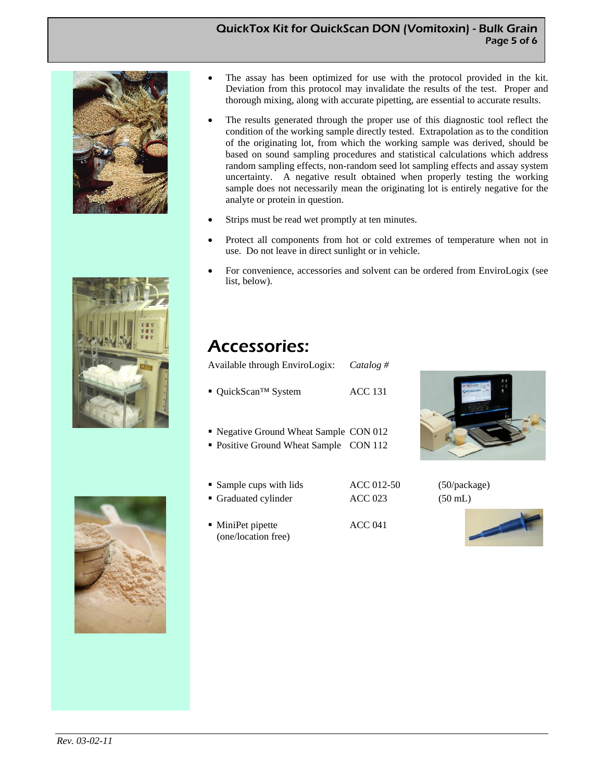#### QuickTox Kit for QuickScan DON (Vomitoxin) - Bulk Grain Page 5 of 6







- The assay has been optimized for use with the protocol provided in the kit. Deviation from this protocol may invalidate the results of the test. Proper and thorough mixing, along with accurate pipetting, are essential to accurate results.
- The results generated through the proper use of this diagnostic tool reflect the condition of the working sample directly tested. Extrapolation as to the condition of the originating lot, from which the working sample was derived, should be based on sound sampling procedures and statistical calculations which address random sampling effects, non-random seed lot sampling effects and assay system uncertainty. A negative result obtained when properly testing the working sample does not necessarily mean the originating lot is entirely negative for the analyte or protein in question.
- Strips must be read wet promptly at ten minutes.
- Protect all components from hot or cold extremes of temperature when not in use. Do not leave in direct sunlight or in vehicle.
- For convenience, accessories and solvent can be ordered from EnviroLogix (see list, below).

### Accessories:

Available through EnviroLogix: *Catalog #* 

- QuickScan™ System ACC 131
- Negative Ground Wheat Sample CON 012
- Positive Ground Wheat Sample CON 112
- 
- Sample cups with lids  $\text{ACC } 012-50$  (50/package) Graduated cylinder ACC 023 (50 mL)
- MiniPet pipette ACC 041 (one/location free)





*Rev. 03-02-11*